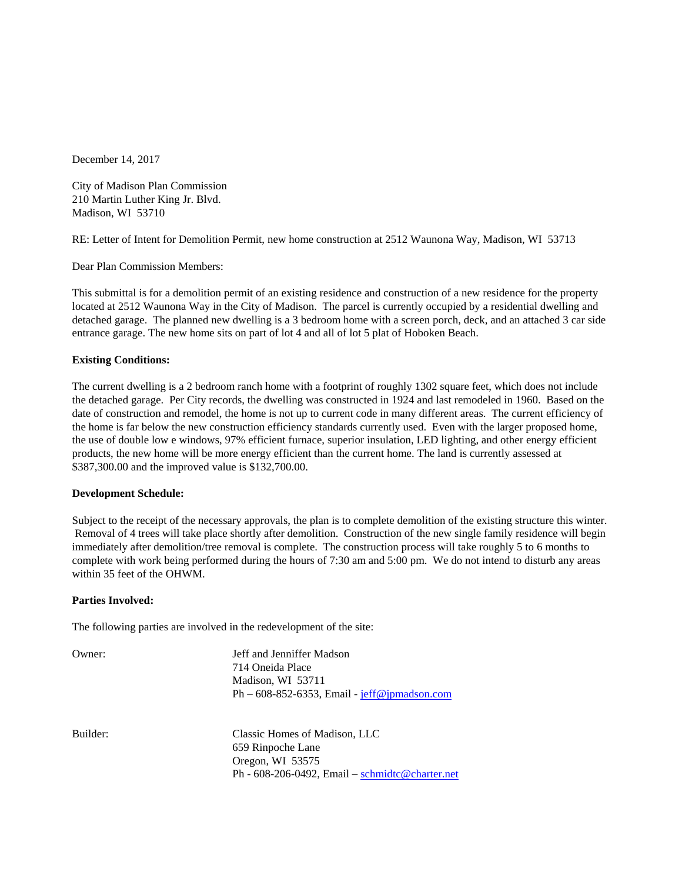December 14, 2017

City of Madison Plan Commission 210 Martin Luther King Jr. Blvd. Madison, WI 53710

RE: Letter of Intent for Demolition Permit, new home construction at 2512 Waunona Way, Madison, WI 53713

Dear Plan Commission Members:

This submittal is for a demolition permit of an existing residence and construction of a new residence for the property located at 2512 Waunona Way in the City of Madison. The parcel is currently occupied by a residential dwelling and detached garage. The planned new dwelling is a 3 bedroom home with a screen porch, deck, and an attached 3 car side entrance garage. The new home sits on part of lot 4 and all of lot 5 plat of Hoboken Beach.

## **Existing Conditions:**

The current dwelling is a 2 bedroom ranch home with a footprint of roughly 1302 square feet, which does not include the detached garage. Per City records, the dwelling was constructed in 1924 and last remodeled in 1960. Based on the date of construction and remodel, the home is not up to current code in many different areas. The current efficiency of the home is far below the new construction efficiency standards currently used. Even with the larger proposed home, the use of double low e windows, 97% efficient furnace, superior insulation, LED lighting, and other energy efficient products, the new home will be more energy efficient than the current home. The land is currently assessed at \$387,300.00 and the improved value is \$132,700.00.

## **Development Schedule:**

Subject to the receipt of the necessary approvals, the plan is to complete demolition of the existing structure this winter. Removal of 4 trees will take place shortly after demolition. Construction of the new single family residence will begin immediately after demolition/tree removal is complete. The construction process will take roughly 5 to 6 months to complete with work being performed during the hours of 7:30 am and 5:00 pm. We do not intend to disturb any areas within 35 feet of the OHWM.

## **Parties Involved:**

The following parties are involved in the redevelopment of the site:

| Owner:   | Jeff and Jenniffer Madson<br>714 Oneida Place<br>Madison, WI 53711<br>$Ph - 608-852-6353$ , Email - $jeff@ipmadson.com$   |
|----------|---------------------------------------------------------------------------------------------------------------------------|
| Builder: | Classic Homes of Madison, LLC<br>659 Rinpoche Lane<br>Oregon, WI 53575<br>Ph - 608-206-0492, Email – schmidtc@charter.net |